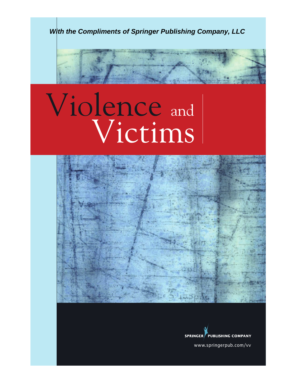

# Violence and Wictims



**SPRINGER PUBLISHING COMPANY** 

www.springerpub.com/vv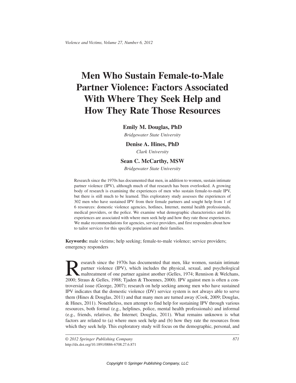## **Men Who Sustain Female-to-Male Partner Violence: Factors Associated With Where They Seek Help and How They Rate Those Resources**

#### **Emily M. Douglas, PhD**

*Bridgewater State University*

#### **Denise A. Hines, PhD**

*Clark University*

#### **Sean C. McCarthy, MSW**

*Bridgewater State University*

Research since the 1970s has documented that men, in addition to women, sustain intimate partner violence (IPV), although much of that research has been overlooked. A growing body of research is examining the experiences of men who sustain female-to-male IPV, but there is still much to be learned. This exploratory study assesses the experiences of 302 men who have sustained IPV from their female partners and sought help from 1 of 6 resources: domestic violence agencies, hotlines, Internet, mental health professionals, medical providers, or the police. We examine what demographic characteristics and life experiences are associated with where men seek help and how they rate those experiences. We make recommendations for agencies, service providers, and first responders about how to tailor services for this specific population and their families.

**Keywords:** male victims; help seeking; female-to-male violence; service providers; emergency responders

Research since the 1970s has documented that men, like women, sustain intimate<br>partner violence (IPV), which includes the physical, sexual, and psychological<br>maltreatment of one partner against another (Gelles, 1974; Renni partner violence (IPV), which includes the physical, sexual, and psychological maltreatment of one partner against another (Gelles, 1974; Rennison & Welchans, 2000; Straus & Gelles, 1988; Tjaden & Thoennes, 2000). IPV against men is often a controversial issue (George, 2007); research on help seeking among men who have sustained IPV indicates that the domestic violence (DV) service system is not always able to serve them (Hines & Douglas, 2011) and that many men are turned away (Cook, 2009; Douglas, & Hines, 2011). Nonetheless, men attempt to find help for sustaining IPV through various resources, both formal (e.g., helplines, police, mental health professionals) and informal (e.g., friends, relatives, the Internet; Douglas, 2011). What remains unknown is what factors are related to (a) where men seek help and (b) how they rate the resources from which they seek help. This exploratory study will focus on the demographic, personal, and

*© 2012 Springer Publishing Company 871* http://dx.doi.org/10.1891/0886-6708.27.6.871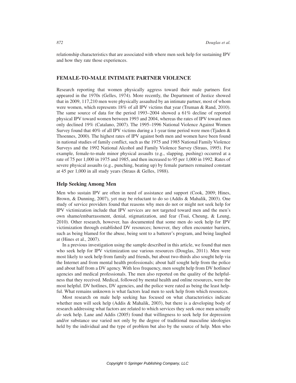relationship characteristics that are associated with where men seek help for sustaining IPV and how they rate those experiences.

#### **FEMALE-TO-MALE INTIMATE PARTNER VIOLENCE**

Research reporting that women physically aggress toward their male partners first appeared in the 1970s (Gelles, 1974). More recently, the Department of Justice showed that in 2009, 117,210 men were physically assaulted by an intimate partner, most of whom were women, which represents 18% of all IPV victims that year (Truman & Rand, 2010). The same source of data for the period 1993–2004 showed a 61% decline of reported physical IPV toward women between 1993 and 2004, whereas the rates of IPV toward men only declined 19% (Catalano, 2007). The 1995–1996 National Violence Against Women Survey found that  $40\%$  of all IPV victims during a 1-year time period were men (Tjaden  $\&$ Thoennes, 2000). The highest rates of IPV against both men and women have been found in national studies of family conflict, such as the 1975 and 1985 National Family Violence Surveys and the 1992 National Alcohol and Family Violence Survey (Straus, 1995). For example, female-to-male minor physical assaults (e.g., slapping, pushing) occurred at a rate of 75 per 1,000 in 1975 and 1985, and then increased to 95 per 1,000 in 1992. Rates of severe physical assaults (e.g., punching, beating up) by female partners remained constant at 45 per 1,000 in all study years (Straus & Gelles, 1988).

#### **Help Seeking Among Men**

Men who sustain IPV are often in need of assistance and support (Cook, 2009; Hines, Brown, & Dunning, 2007), yet may be reluctant to do so (Addis & Mahalik, 2003). One study of service providers found that reasons why men do not or might not seek help for IPV victimization include that IPV services are not targeted toward men and the men's own shame/embarrassment, denial, stigmatization, and fear (Tsui, Cheung, & Leung, 2010). Other research, however, has documented that some men do seek help for IPV victimization through established DV resources; however, they often encounter barriers, such as being blamed for the abuse, being sent to a batterer's program, and being laughed at (Hines et al., 2007).

In a previous investigation using the sample described in this article, we found that men who seek help for IPV victimization use various resources (Douglas, 2011). Men were most likely to seek help from family and friends, but about two-thirds also sought help via the Internet and from mental health professionals; about half sought help from the police and about half from a DV agency. With less frequency, men sought help from DV hotlines/ agencies and medical professionals. The men also reported on the quality of the helpfulness that they received. Medical, followed by mental health and online resources, were the most helpful. DV hotlines, DV agencies, and the police were rated as being the least helpful. What remains unknown is what factors lead men to seek help from which resources.

Most research on male help seeking has focused on what characteristics indicate whether men will seek help (Addis & Mahalik, 2003), but there is a developing body of research addressing what factors are related to which services they seek once men actually *do* seek help. Lane and Addis (2005) found that willingness to seek help for depression and/or substance use varied not only by the degree of traditional masculine ideologies held by the individual and the type of problem but also by the source of help. Men who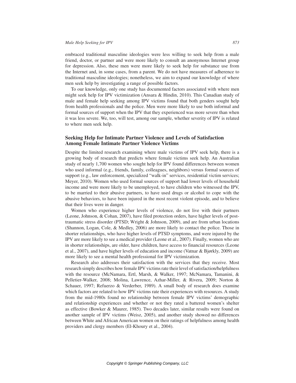embraced traditional masculine ideologies were less willing to seek help from a male friend, doctor, or partner and were more likely to consult an anonymous Internet group for depression. Also, these men were more likely to seek help for substance use from the Internet and, in some cases, from a parent. We do not have measures of adherence to traditional masculine ideologies; nonetheless, we aim to expand our knowledge of where men seek help by investigating a range of possible factors.

To our knowledge, only one study has documented factors associated with where men might seek help for IPV victimization (Ansara & Hindin, 2010). This Canadian study of male and female help seeking among IPV victims found that both genders sought help from health professionals and the police. Men were more likely to use both informal and formal sources of support when the IPV that they experienced was more severe than when it was less severe. We, too, will test, among our sample, whether severity of IPV is related to where men seek help.

#### **Seeking Help for Intimate Partner Violence and Levels of Satisfaction Among Female Intimate Partner Violence Victims**

Despite the limited research examining where male victims of IPV seek help, there is a growing body of research that predicts where female victims seek help. An Australian study of nearly 1,700 women who sought help for IPV found differences between women who used informal (e.g., friends, family, colleagues, neighbors) versus formal sources of support (e.g., law enforcement, specialized "walk-in" services, residential victim services; Meyer, 2010). Women who used formal sources of support had lower levels of household income and were more likely to be unemployed, to have children who witnessed the IPV, to be married to their abusive partners, to have used drugs or alcohol to cope with the abusive behaviors, to have been injured in the most recent violent episode, and to believe that their lives were in danger.

Women who experience higher levels of violence, do not live with their partners (Leone, Johnson, & Cohan, 2007), have filed protection orders, have higher levels of posttraumatic stress disorder (PTSD; Wright & Johnson, 2009), and are from urban locations (Shannon, Logan, Cole, & Medley, 2006) are more likely to contact the police. Those in shorter relationships, who have higher levels of PTSD symptoms, and were injured by the IPV are more likely to see a medical provider (Leone et al., 2007). Finally, women who are in shorter relationships, are older, have children, have access to financial resources (Leone et al., 2007), and have higher levels of education and income (Vatnar & Bjørkly, 2009) are more likely to see a mental health professional for IPV victimization.

Research also addresses their satisfaction with the services that they receive. Most research simply describes how female IPV victims rate their level of satisfaction/helpfulness with the resource (McNamara, Ertl, Marsh, & Walker, 1997; McNamara, Tamanini, & Pelletier-Walker, 2008; Molina, Lawrence, Azhar-Miller, & Rivera, 2009; Norton & Schauer, 1997; Refuerzo & Verderber, 1989). A small body of research does examine which factors are related to how IPV victims rate their experiences with resources. A study from the mid-1980s found no relationship between female IPV victims' demographic and relationship experiences and whether or not they rated a battered women's shelter as effective (Bowker & Maurer, 1985). Two decades later, similar results were found on another sample of IPV victims (Weisz, 2005), and another study showed no differences between White and African American women on their ratings of helpfulness among health providers and clergy members (El-Khoury et al., 2004).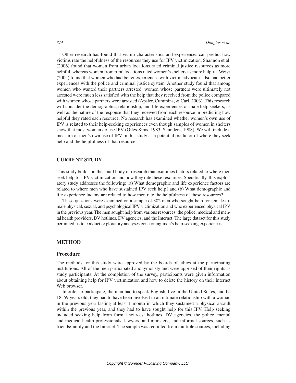Other research has found that victim characteristics and experiences can predict how victims rate the helpfulness of the resources they use for IPV victimization. Shannon et al. (2006) found that women from urban locations rated criminal justice resources as more helpful, whereas women from rural locations rated women's shelters as more helpful. Weisz (2005) found that women who had better experiences with victim advocates also had better experiences with the police and criminal justice system. Another study found that among women who wanted their partners arrested, women whose partners were ultimately not arrested were much less satisfied with the help that they received from the police compared with women whose partners were arrested (Apsler, Cummins, & Carl, 2003). This research will consider the demographic, relationship, and life experiences of male help seekers, as well as the nature of the response that they received from each resource in predicting how helpful they rated each resource. No research has examined whether women's own use of IPV is related to their help-seeking experiences even though samples of women in shelters show that most women do use IPV (Giles-Sims, 1983; Saunders, 1988). We will include a measure of men's own use of IPV in this study as a potential predictor of where they seek help and the helpfulness of that resource.

#### **CURRENT STUDY**

This study builds on the small body of research that examines factors related to where men seek help for IPV victimization and how they rate these resources. Specifically, this exploratory study addresses the following: (a) What demographic and life experience factors are related to where men who have sustained IPV seek help? and (b) What demographic and life experience factors are related to how men rate the helpfulness of these resources?

These questions were examined on a sample of 302 men who sought help for female-tomale physical, sexual, and psychological IPV victimization and who experienced physical IPV in the previous year. The men sought help from various resources: the police, medical and mental health providers, DV hotlines, DV agencies, and the Internet. The large dataset for this study permitted us to conduct exploratory analyses concerning men's help-seeking experiences.

#### **METHOD**

#### **Procedure**

The methods for this study were approved by the boards of ethics at the participating institutions. All of the men participated anonymously and were apprised of their rights as study participants. At the completion of the survey, participants were given information about obtaining help for IPV victimization and how to delete the history on their Internet Web browser.

In order to participate, the men had to speak English, live in the United States, and be 18–59 years old; they had to have been involved in an intimate relationship with a woman in the previous year lasting at least 1 month in which they sustained a physical assault within the previous year, and they had to have sought help for this IPV. Help seeking included seeking help from formal sources: hotlines, DV agencies, the police, mental and medical health professionals, lawyers, and ministers; and informal sources, such as friends/family and the Internet. The sample was recruited from multiple sources, including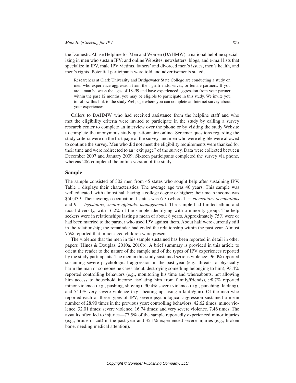the Domestic Abuse Helpline for Men and Women (DAHMW), a national helpline specializing in men who sustain IPV; and online Websites, newsletters, blogs, and e-mail lists that specialize in IPV, male IPV victims, fathers' and divorced men's issues, men's health, and men's rights. Potential participants were told and advertisements stated,

Researchers at Clark University and Bridgewater State College are conducting a study on men who experience aggression from their girlfriends, wives, or female partners. If you are a man between the ages of 18–59 and have experienced aggression from your partner within the past 12 months, you may be eligible to participate in this study. We invite you to follow this link to the study Webpage where you can complete an Internet survey about your experiences.

Callers to DAHMW who had received assistance from the helpline staff and who met the eligibility criteria were invited to participate in the study by calling a survey research center to complete an interview over the phone or by visiting the study Website to complete the anonymous study questionnaire online. Screener questions regarding the study criteria were on the first page of the survey, and men who were eligible were allowed to continue the survey. Men who did not meet the eligibility requirements were thanked for their time and were redirected to an "exit page" of the survey. Data were collected between December 2007 and January 2009. Sixteen participants completed the survey via phone, whereas 286 completed the online version of the study.

#### **Sample**

The sample consisted of 302 men from 45 states who sought help after sustaining IPV. Table 1 displays their characteristics. The average age was 40 years. This sample was well educated, with almost half having a college degree or higher; their mean income was \$50,439. Their average occupational status was  $6.7$  (where  $1 = elementary$  occupations and  $9 = legislators$ , senior officials, management). The sample had limited ethnic and racial diversity, with 16.2% of the sample identifying with a minority group. The help seekers were in relationships lasting a mean of about 8 years. Approximately 75% were or had been married to the partner who used IPV against them. About half were currently still in the relationship; the remainder had ended the relationship within the past year. Almost 75% reported that minor-aged children were present.

The violence that the men in this sample sustained has been reported in detail in other papers (Hines & Douglas, 2010a, 2010b). A brief summary is provided in this article to orient the reader to the nature of the sample and of the types of IPV experiences reported by the study participants. The men in this study sustained serious violence: 96.0% reported sustaining severe psychological aggression in the past year (e.g., threats to physically harm the man or someone he cares about, destroying something belonging to him), 93.4% reported controlling behaviors (e.g., monitoring his time and whereabouts, not allowing him access to household income, isolating him from family/friends), 98.7% reported minor violence (e.g., pushing, shoving), 90.4% severe violence (e.g., punching, kicking), and 54.0% very severe violence (e.g., beating up, using a knife/gun). Of the men who reported each of these types of IPV, severe psychological aggression sustained a mean number of 28.90 times in the previous year; controlling behaviors, 42.62 times; minor violence, 32.01 times; severe violence, 16.74 times; and very severe violence, 7.46 times. The assaults often led to injuries—77.5% of the sample reportedly experienced minor injuries (e.g., bruise or cut) in the past year and 35.1% experienced severe injuries (e.g., broken bone, needing medical attention).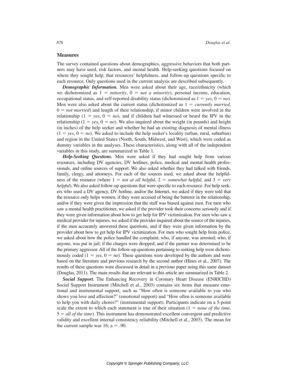#### **Measures**

The survey contained questions about demographics, aggressive behaviors that both partners may have used, risk factors, and mental health. Help-seeking questions focused on where they sought help, that resources' helpfulness, and follow-up questions specific to each resource. Only questions used in the current analysis are described subsequently.

*Demographic Information.* Men were asked about their age, race/ethnicity (which we dichotomized as  $1 = \text{minority}$ ,  $0 = \text{not}$  a minority), personal income, education, occupational status, and self-reported disability status (dichotomized as  $1 = yes$ ,  $0 = no$ ). Men were also asked about the current status (dichotomized as  $1 =$  *currently married*,  $0 = not married$ ) and length of their relationship, if minor children were involved in the relationship ( $1 = yes$ ,  $0 = no$ ), and if children had witnessed or heard the IPV in the relationship ( $1 = yes$ ,  $0 = no$ ). We also inquired about the weight (in pounds) and height (in inches) of the help seeker and whether he had an existing diagnosis of mental illness  $(1 = yes, 0 = no)$ . We asked to include the help seeker's locality (urban, rural, suburban) and region in the United States (North, South, Midwest, and West), which were coded as dummy variables in the analyses. These characteristics, along with all of the independent variables in this study, are summarized in Table 1.

*Help-Seeking Questions.* Men were asked if they had sought help from various resources, including DV agencies, DV hotlines, police, medical and mental health professionals, and online sources of support. We also asked whether they had talked with friends, family, clergy, and attorneys. For each of the sources used, we asked about the helpfulness of the resource (where  $1 = not$  *at all helpful*,  $2 = somewhat \text{ helpful}$ , and  $3 = \text{very}$ *helpful*). We also asked follow-up questions that were specific to each resource. For help seekers who used a DV agency, DV hotline, and/or the Internet, we asked if they were told that the resource only helps women, if they were accused of being the batterer in the relationship, and/or if they were given the impression that the staff was biased against men. For men who saw a mental health practitioner, we asked if the provider took their concerns seriously and if they were given information about how to get help for IPV victimization. For men who saw a medical provider for injuries, we asked if the provider inquired about the source of the injuries, if the men accurately answered these questions, and if they were given information by the provider about how to get help for IPV victimization. For men who sought help from police, we asked about how the police handled the complaint; who, if anyone, was arrested; who, if anyone, was put in jail; if the charges were dropped; and if the partner was determined to be the primary aggressor. All of the follow-up questions pertaining to seeking help were dichotomously coded  $(1 = yes, 0 = no)$ . These questions were developed by the authors and were based on the literature and previous research by the second author (Hines et al., 2007). The results of these questions were discussed in detail in a previous paper using this same dataset (Douglas, 2011). The main results that are relevant to this article are summarized in Table 2.

*Social Support.* The Enhancing Recovery in Coronary Heart Disease (ENRICHD) Social Support Instrument (Mitchell et al., 2003) contains six items that measure emotional and instrumental support, such as "How often is someone available to you who shows you love and affection?" (emotional support) and "How often is someone available to help you with daily chores?" (instrumental support). Participants indicate on a 5-point scale the extent to which each statement is true of their situation  $(1 = none of the time,$ 5 5 *all of the time*). This instrument has demonstrated excellent convergent and predictive validity and excellent internal consistency reliability (Mitchell et al., 2003). The mean for the current sample was 16;  $a = .90$ .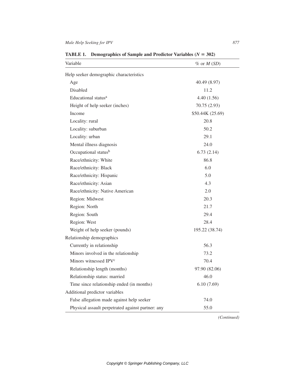| $\%$ or $M(SD)$<br>40.49 (8.97)<br>11.2<br>4.40(1.56)<br>70.75 (2.93)<br>\$50.44K (25.69)<br>20.8<br>50.2 |
|-----------------------------------------------------------------------------------------------------------|
|                                                                                                           |
|                                                                                                           |
|                                                                                                           |
|                                                                                                           |
|                                                                                                           |
|                                                                                                           |
|                                                                                                           |
|                                                                                                           |
|                                                                                                           |
| 29.1                                                                                                      |
| 24.0                                                                                                      |
| 6.73(2.14)                                                                                                |
| 86.8                                                                                                      |
| 6.0                                                                                                       |
| 5.0                                                                                                       |
| 4.3                                                                                                       |
| 2.0                                                                                                       |
| 20.3                                                                                                      |
| 21.7                                                                                                      |
| 29.4                                                                                                      |
| 28.4                                                                                                      |
| 195.22 (38.74)                                                                                            |
|                                                                                                           |
| 56.3                                                                                                      |
| 73.2                                                                                                      |
| 70.4                                                                                                      |
| 97.90 (82.06)                                                                                             |
| 46.0                                                                                                      |
| 6.10(7.69)                                                                                                |
|                                                                                                           |
|                                                                                                           |
| 74.0                                                                                                      |
|                                                                                                           |

**TABLE 1.** Demographics of Sample and Predictor Variables  $(N = 302)$ 

*(Continued)*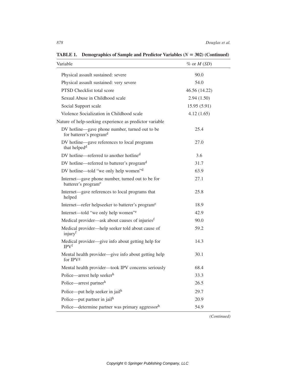| Variable                                                                              | $%$ or $M(SD)$ |
|---------------------------------------------------------------------------------------|----------------|
| Physical assault sustained: severe                                                    | 90.0           |
| Physical assault sustained: very severe                                               | 54.0           |
| PTSD Checklist total score                                                            | 46.56 (14.22)  |
| Sexual Abuse in Childhood scale                                                       | 2.94(1.50)     |
| Social Support scale                                                                  | 15.95(5.91)    |
| Violence Socialization in Childhood scale                                             | 4.12(1.65)     |
| Nature of help-seeking experience as predictor variable                               |                |
| DV hotline-gave phone number, turned out to be<br>for batterer's program <sup>d</sup> | 25.4           |
| DV hotline—gave references to local programs<br>that helped <sup>d</sup>              | 27.0           |
| DV hotline—referred to another hotline <sup>d</sup>                                   | 3.6            |
| DV hotline—referred to batterer's program <sup>d</sup>                                | 31.7           |
| DV hotline—told "we only help women" <sup>d</sup>                                     | 63.9           |
| Internet-gave phone number, turned out to be for<br>batterer's program <sup>e</sup>   | 27.1           |
| Internet—gave references to local programs that<br>helped                             | 25.8           |
| Internet—refer helpseeker to batterer's program <sup>e</sup>                          | 18.9           |
| Internet—told "we only help women"e                                                   | 42.9           |
| Medical provider—ask about causes of injuries <sup>f</sup>                            | 90.0           |
| Medical provider—help seeker told about cause of<br>injury <sup>f</sup>               | 59.2           |
| Medical provider—give info about getting help for<br>IPV <sup>f</sup>                 | 14.3           |
| Mental health provider—give info about getting help<br>for IPV <sup>g</sup>           | 30.1           |
| Mental health provider-took IPV concerns seriously                                    | 68.4           |
| Police—arrest help seekerh                                                            | 33.3           |
| Police-arrest partnerh                                                                | 26.5           |
| Police—put help seeker in jail <sup>h</sup>                                           | 29.7           |
| Police—put partner in jail <sup>h</sup>                                               | 20.9           |
| Police—determine partner was primary aggressorh                                       | 54.9           |

**TABLE 1.** Demographics of Sample and Predictor Variables  $(N = 302)$  (Continued)

*(Continued)*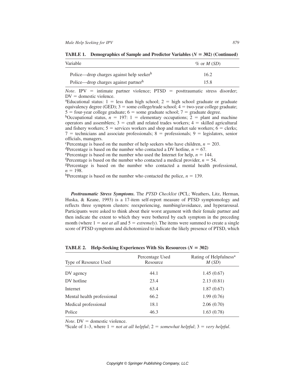| Variable                                         | $\%$ or M (SD) |
|--------------------------------------------------|----------------|
| Police—drop charges against help seekerh         | 16.2           |
| Police—drop charges against partner <sup>h</sup> | 15.8           |

| <b>TABLE 1.</b> Demographics of Sample and Predictor Variables ( $N = 302$ ) (Continued) |
|------------------------------------------------------------------------------------------|
|------------------------------------------------------------------------------------------|

*Note*. IPV = intimate partner violence; PTSD = posttraumatic stress disorder;  $DV =$  domestic violence.

<sup>a</sup>Educational status:  $1 =$  less than high school;  $2 =$  high school graduate or graduate equivalency degree (GED);  $3 =$  some college/trade school;  $4 =$  two-year college graduate;  $5 =$  four-year college graduate;  $6 =$  some graduate school;  $7 =$  graduate degree.

<sup>b</sup>Occupational status,  $n = 197$ : 1 = elementary occupations; 2 = plant and machine operators and assemblers;  $3 = \text{craft}$  and related trades workers;  $4 = \text{skilled}$  agricultural and fishery workers;  $5 =$  services workers and shop and market sale workers;  $6 =$  clerks;  $7 =$  technicians and associate professionals;  $8 =$  professionals;  $9 =$  legislators, senior officials, managers.

<sup>c</sup>Percentage is based on the number of help seekers who have children,  $n = 203$ .

dPercentage is based on the number who contacted a DV hotline,  $n = 67$ .

<sup>e</sup>Percentage is based on the number who used the Internet for help,  $n = 144$ .

<sup>f</sup>Percentage is based on the number who contacted a medical provider,  $n = 54$ .

gPercentage is based on the number who contacted a mental health professional,  $n = 198$ .

<sup>h</sup>Percentage is based on the number who contacted the police,  $n = 139$ .

*Posttraumatic Stress Symptoms.* The *PTSD Checklist* (PCL; Weathers, Litz, Herman, Huska, & Keane, 1993) is a 17-item self-report measure of PTSD symptomology and reflects three symptom clusters: reexperiencing, numbing/avoidance, and hyperarousal. Participants were asked to think about their worst argument with their female partner and then indicate the extent to which they were bothered by each symptom in the preceding month (where  $1 = not at all$  and  $5 = extremely$ ). The items were summed to create a single score of PTSD symptoms and dichotomized to indicate the likely presence of PTSD, which

| Type of Resource Used      | Percentage Used<br>Resource | Rating of Helpfulness <sup>a</sup><br>M(SD) |
|----------------------------|-----------------------------|---------------------------------------------|
| DV agency                  | 44.1                        | 1.45(0.67)                                  |
| DV hotline                 | 23.4                        | 2.13(0.81)                                  |
| Internet                   | 63.4                        | 1.87(0.67)                                  |
| Mental health professional | 66.2                        | 1.99(0.76)                                  |
| Medical professional       | 18.1                        | 2.06(0.70)                                  |
| Police                     | 46.3                        | 1.63(0.78)                                  |

**TABLE 2.** Help-Seeking Experiences With Six Resources  $(N = 302)$ 

*Note*. DV = domestic violence.<br><sup>a</sup>Scale of 1–3, where 1 = *not at all helpful*; 2 = *somewhat helpful*; 3 = *very helpful*.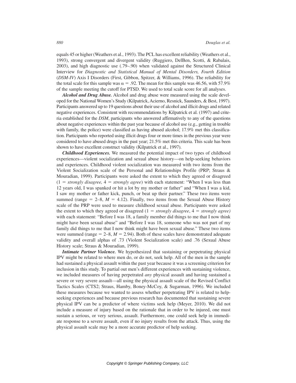equals 45 or higher (Weathers et al., 1993). The PCL has excellent reliability (Weathers et al., 1993), strong convergent and divergent validity (Ruggiero, DelBen, Scotti, & Rabalais, 2003), and high diagnostic use (.79–.90) when validated against the Structured Clinical Interview for *Diagnostic and Statistical Manual of Mental Disorders, Fourth Edition*  (*DSM-IV*) Axis I Disorders (First, Gibbon, Spitzer, & Williams, 1996). The reliability for the total scale for this sample was  $\alpha = .92$ . The mean for this sample was 46.56, with 57.9% of the sample meeting the cutoff for PTSD. We used to total scale score for all analyses.

*Alcohol and Drug Abuse.* Alcohol and drug abuse were measured using the scale developed for the National Women's Study (Kilpatrick, Acierno, Resnick, Saunders, & Best, 1997). Participants answered up to 19 questions about their use of alcohol and illicit drugs and related negative experiences. Consistent with recommendations by Kilpatrick et al. (1997) and criteria established for the *DSM*, participants who answered affirmatively to any of the questions about negative experiences within the past year because of alcohol use (e.g., getting in trouble with family, the police) were classified as having abused alcohol; 17.9% met this classification. Participants who reported using illicit drugs four or more times in the previous year were considered to have abused drugs in the past year; 21.5% met this criteria. This scale has been shown to have excellent construct validity (Kilpatrick et al., 1997).

*Childhood Experiences.* We measured the potential impact of two types of childhood experiences—violent socialization and sexual abuse history—on help-seeking behaviors and experiences. Childhood violent socialization was measured with two items from the Violent Socialization scale of the Personal and Relationships Profile (PRP; Straus & Mouradian, 1999). Participants were asked the extent to which they agreed or disagreed  $(1 = strongly disagree, 4 = strongly agree)$  with each statement: "When I was less than 12 years old, I was spanked or hit a lot by my mother or father" and "When I was a kid, I saw my mother or father kick, punch, or beat up their partner." These two items were summed (range  $= 2-8$ ,  $M = 4.12$ ). Finally, two items from the Sexual Abuse History scale of the PRP were used to measure childhood sexual abuse. Participants were asked the extent to which they agreed or disagreed  $(1 = strongly \, disagree, 4 = strongly \, agree)$ with each statement: "Before I was 18, a family member did things to me that I now think might have been sexual abuse" and "Before I was 18, someone who was not part of my family did things to me that I now think might have been sexual abuse." These two items were summed (range  $= 2-8$ ,  $M = 2.94$ ). Both of these scales have demonstrated adequate validity and overall alphas of .73 (Violent Socialization scale) and .76 (Sexual Abuse History scale; Straus & Mouradian, 1999).

*Intimate Partner Violence.* We hypothesized that sustaining or perpetrating physical IPV might be related to where men do, or do not, seek help. All of the men in the sample had sustained a physical assault within the past year because it was a screening criterion for inclusion in this study. To partial out men's different experiences with sustaining violence, we included measures of having perpetrated *any* physical assault and having sustained a severe or very severe assault—all using the physical assault scale of the Revised Conflict Tactics Scales (CTS2; Straus, Hamby, Boney-McCoy, & Sugarman, 1996). We included these measures because we wanted to assess whether perpetrating IPV is related to helpseeking experiences and because previous research has documented that sustaining severe physical IPV can be a predictor of where victims seek help (Meyer, 2010). We did not include a measure of injury based on the rationale that in order to be injured, one must sustain a serious, or very serious, assault. Furthermore, one could seek help in immediate response to a severe assault, even if no injury results from the attack. Thus, using the physical assault scale may be a more accurate predictor of help seeking.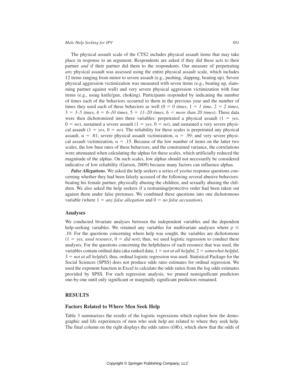The physical assault scale of the CTS2 includes physical assault items that may take place in response to an argument. Respondents are asked if they did these acts to their partner *and* if their partner did them to the respondents. Our measure of perpetrating *any* physical assault was assessed using the entire physical assault scale, which includes 12 items ranging from minor to severe assault (e.g., pushing, slapping, beating up). Severe physical aggression victimization was measured with seven items (e.g., beating up, slamming partner against wall) and very severe physical aggression victimization with four items (e.g., using knife/gun, choking). Participants responded by indicating the number of times each of the behaviors occurred to them in the previous year and the number of times they used each of these behaviors as well  $(0 = 0 \text{ times}, 1 = 1 \text{ time}, 2 = 2 \text{ times},$  $3 = 3-5$  times,  $4 = 6$ –10 times,  $5 = 11$ –20 times,  $6 =$  *more than 20 times*). These data were then dichotomized into three variables: perpetrated a physical assault  $(1 = y \varepsilon s,$  $0 = no$ , sustained a severe assault  $(1 = \text{ves}, 0 = no)$ , and sustained a very severe physical assault  $(1 = \text{yes}, 0 = \text{no})$ . The reliability for these scales is perpetrated any physical assault,  $\alpha = .81$ ; severe physical assault victimization,  $\alpha = .59$ ; and very severe physical assault victimization,  $\alpha = 0.15$ . Because of the low number of items on the latter two scales, the low base rates of these behaviors, and the constrained variance, the correlations were attenuated when calculating the alphas for these scales, which artificially reduced the magnitude of the alphas. On such scales, low alphas should not necessarily be considered indicative of low reliability (Garson, 2009) because many factors can influence alphas.

*False Allegations.* We asked the help seekers a series of yes/no response questions concerning whether they had been falsely accused of the following several abusive behaviors: beating his female partner, physically abusing the children, and sexually abusing the children. We also asked the help seekers if a restraining/protective order had been taken out against them under false pretenses. We combined these questions into one dichotomous variable (where  $1 = any false$  *allegation* and  $0 = no$  *false accusation*).

#### **Analyses**

We conducted bivariate analyses between the independent variables and the dependent help-seeking variables. We retained any variables for multivariate analyses where  $p \leq$ .10. For the questions concerning where help was sought, the variables are dichotomous  $(1 = yes, used resource, 0 = did not);$  thus, we used logistic regression to conduct these analyses. For the questions concerning the helpfulness of each resource that was used, the variables contain ordinal data (aka ranked data;  $1 = not$  *at all helpful*,  $2 = somewhat helpful$ ,  $3 = not at all helpful$ ; thus, ordinal logistic regression was used. Statistical Package for the Social Sciences (SPSS) does not produce odds ratio estimates for ordinal regression. We used the exponent function in Excel to calculate the odds ratios from the log odds estimates provided by SPSS. For each regression analysis, we pruned nonsignificant predictors one-by-one until only significant or marginally significant predictors remained.

#### **RESULTS**

#### **Factors Related to Where Men Seek Help**

Table 3 summarizes the results of the logistic regressions which explore how the demographic and life experiences of men who seek help are related to where they seek help. The final column on the right displays the odds ratios (*ORs*), which show that the odds of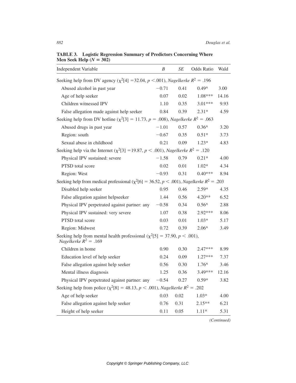| <b>IVICH SECK LICIP</b> $(Y = 302)$                                                                        |                  |      |                   |       |
|------------------------------------------------------------------------------------------------------------|------------------|------|-------------------|-------|
| <b>Independent Variable</b>                                                                                | $\boldsymbol{B}$ | SE   | Odds Ratio        | Wald  |
| Seeking help from DV agency ( $\chi^2$ [4] = 32.04, p <.001), Nagelkerke R <sup>2</sup> = .196             |                  |      |                   |       |
| Abused alcohol in past year                                                                                | $-0.71$          | 0.41 | $0.49^$           | 3.00  |
| Age of help seeker                                                                                         | 0.07             | 0.02 | 1.08***           | 14.16 |
| Children witnessed IPV                                                                                     | 1.10             | 0.35 | 3.01***           | 9.93  |
| False allegation made against help seeker                                                                  | 0.84             | 0.39 | $2.31*$           | 4.59  |
| Seeking help from DV hotline ( $\chi^2$ [3] = 11.73, p = .008), Nagelkerke R <sup>2</sup> = .063           |                  |      |                   |       |
| Abused drugs in past year                                                                                  | $-1.01$          | 0.57 | $0.36^{\text{A}}$ | 3.20  |
| Region: south                                                                                              | $-0.67$          | 0.35 | $0.51*$           | 3.73  |
| Sexual abuse in childhood                                                                                  | 0.21             | 0.09 | $1.23*$           | 4.83  |
| Seeking help via the Internet ( $\chi^2[3] = 19.87$ , $p < .001$ ), Nagelkerke $R^2 = .120$                |                  |      |                   |       |
| Physical IPV sustained: severe                                                                             | $-1.58$          | 0.79 | $0.21*$           | 4.00  |
| PTSD total score                                                                                           | 0.02             | 0.01 | $1.02*$           | 4.34  |
| Region: West                                                                                               | $-0.93$          | 0.31 | $0.40***$         | 8.94  |
| Seeking help from medical professional ( $\chi^2$ [6] = 36.52, p < .001), Nagelkerke R <sup>2</sup> = .203 |                  |      |                   |       |
| Disabled help seeker                                                                                       | 0.95             | 0.46 | $2.59*$           | 4.35  |
| False allegation against helpseeker                                                                        | 1.44             | 0.56 | $4.20**$          | 6.52  |
| Physical IPV perpetrated against partner: any                                                              | $-0.58$          | 0.34 | $0.56^{\circ}$    | 2.88  |
| Physical IPV sustained: very severe                                                                        | 1.07             | 0.38 | $2.92***$         | 8.06  |
| PTSD total score                                                                                           | 0.03             | 0.01 | $1.03*$           | 5.17  |
| Region: Midwest                                                                                            | 0.72             | 0.39 | $2.06^{\circ}$    | 3.49  |
| Seeking help from mental health professional ( $\chi^2[5] = 37.90, p < .001$ ),<br>Nagelkerke $R^2 = .169$ |                  |      |                   |       |
| Children in home                                                                                           | 0.90             | 0.30 | 2.47***           | 8.99  |
| Education level of help seeker                                                                             | 0.24             | 0.09 | $1.27***$         | 7.37  |
| False allegation against help seeker                                                                       | 0.56             | 0.30 | $1.76^{\circ}$    | 3.46  |
| Mental illness diagnosis                                                                                   | 1.25             | 0.36 | $3.49***$         | 12.16 |
| Physical IPV perpetrated against partner: any $-0.54$                                                      |                  | 0.27 | $0.59*$           | 3.82  |
| Seeking help from police ( $\chi^2[8] = 48.13$ , $p < .001$ ), Nagelkerke $R^2 = .202$                     |                  |      |                   |       |
| Age of help seeker                                                                                         | 0.03             | 0.02 | $1.03*$           | 4.00  |
| False allegation against help seeker                                                                       | 0.76             | 0.31 | $2.15**$          | 6.21  |
| Height of help seeker                                                                                      | 0.11             | 0.05 | $1.11*$           | 5.31  |

**TABLE 3. Logistic Regression Summary of Predictors Concerning Where Men Seek Help**  $(N = 302)$ 

*(Continued)*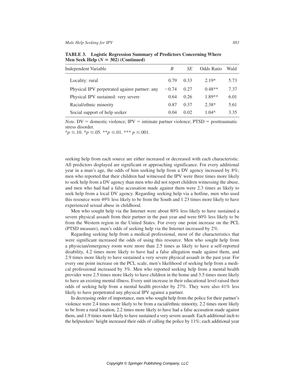| <b>Independent Variable</b>                   | B       | SЕ   | Odds Ratio     | Wald |
|-----------------------------------------------|---------|------|----------------|------|
| Locality: rural                               | 0.79    | 0.33 | $2.19*$        | 5.73 |
| Physical IPV perpetrated against partner: any | $-0.74$ | 0.27 | $0.48**$       | 7.37 |
| Physical IPV sustained: very severe           | 0.64    | 0.26 | 1.89**         | 6.01 |
| Racial/ethnic minority                        | 0.87    | 0.37 | $2.38*$        | 5.61 |
| Social support of help seeker                 | 0.04    | 0.02 | $1.04^{\circ}$ | 3.35 |

**TABLE 3. Logistic Regression Summary of Predictors Concerning Where Men Seek Help**  $(N = 302)$  (Continued)

*Note*. DV = domestic violence; IPV = intimate partner violence; PTSD = posttraumatic stress disorder.  $\gamma_p \leq 10.$  \* $p \leq 0.05$ . \*\* $p \leq 0.01$ . \*\*\*  $p \leq 0.001$ .

seeking help from each source are either increased or decreased with each characteristic. All predictors displayed are significant or approaching significance. For every additional year in a man's age, the odds of him seeking help from a DV agency increased by 8%; men who reported that their children had witnessed the IPV were three times more likely to seek help from a DV agency than men who did not report children witnessing the abuse, and men who had had a false accusation made against them were 2.3 times as likely to seek help from a local DV agency. Regarding seeking help via a hotline, men who used this resource were 49% less likely to be from the South and 1.23 times more likely to have experienced sexual abuse in childhood.

Men who sought help via the Internet were about 80% less likely to have sustained a severe physical assault from their partner in the past year and were 60% less likely to be from the Western region in the United States. For every one point increase on the PCL (PTSD measure), men's odds of seeking help via the Internet increased by 2%.

Regarding seeking help from a medical professional, most of the characteristics that were significant increased the odds of using this resource. Men who sought help from a physician/emergency room were more than 2.5 times as likely to have a self-reported disability, 4.2 times more likely to have had a false allegation made against them, and 2.9 times more likely to have sustained a very severe physical assault in the past year. For every one point increase on the PCL scale, men's likelihood of seeking help from a medical professional increased by 3%. Men who reported seeking help from a mental health provider were 2.5 times more likely to have children in the home and 3.5 times more likely to have an existing mental illness. Every unit increase in their educational level raised their odds of seeking help from a mental health provider by 27%. They were also 41% less likely to have perpetrated any physical IPV against a partner.

In decreasing order of importance, men who sought help from the police for their partner's violence were 2.4 times more likely to be from a racial/ethnic minority, 2.2 times more likely to be from a rural location, 2.2 times more likely to have had a false accusation made against them, and 1.9 times more likely to have sustained a very severe assault. Each additional inch to the helpseekers' height increased their odds of calling the police by 11%; each additional year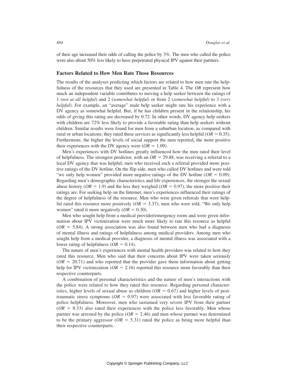of their age increased their odds of calling the police by 3%. The men who called the police were also about 50% less likely to have perpetrated physical IPV against their partners.

#### **Factors Related to How Men Rate Those Resources**

The results of the analyses predicting which factors are related to how men rate the helpfulness of the resources that they used are presented in Table 4. The *OR* represent how much an independent variable contributes to moving a help seeker between the ratings of 1 (*not at all helpful*) and 2 (*somewhat helpful*) or from 2 (*somewhat helpful*) to 3 (*very helpful*). For example, an "average" male help seeker might rate his experience with a DV agency as somewhat helpful. But, if he has children present in the relationship, his odds of giving this rating are decreased by 0.72. In other words, DV agency help seekers with children are 72% less likely to provide a favorable rating than help seekers without children. Similar results were found for men from a suburban location, as compared with rural or urban locations; they rated these services as significantly less helpful ( $OR = 0.35$ ). Furthermore, the higher the levels of social support the men reported, the more positive their experiences with the DV agency were  $(OR = 1.09)$ .

Men's experiences with DV hotlines greatly influenced how the men rated their level of helpfulness. The strongest predictor, with an  $OR = 29.88$ , was receiving a referral to a local DV agency that was helpful; men who received such a referral provided more positive ratings of the DV hotline. On the flip side, men who called DV hotlines and were told "we only help women" provided more negative ratings of the DV hotline  $(OR = 0.09)$ . Regarding men's demographic characteristics and life experiences, the stronger the sexual abuse history ( $OR = 1.9$ ) and the less they weighed ( $OR = 0.97$ ), the more positive their ratings are. For seeking help on the Internet, men's experiences influenced their ratings of the degree of helpfulness of the resource. Men who were given referrals that were helpful rated this resource more positively  $(OR = 3.37)$ ; men who were told, "We only help women" rated it more negatively  $(OR = 0.30)$ .

Men who sought help from a medical provider/emergency room and were given information about IPV victimization were much more likely to rate this resource as helpful  $(OR = 5.84)$ . A strong association was also found between men who had a diagnosis of mental illness and ratings of helpfulness among medical providers. Among men who sought help from a medical provider, a diagnosis of mental illness was associated with a lower rating of helpfulness ( $OR = 0.14$ ).

The nature of men's experiences with mental health providers was related to how they rated this resource. Men who said that their concerns about IPV were taken seriously  $(OR = 20.71)$  and who reported that the provider gave them information about getting help for IPV victimization ( $OR = 2.16$ ) reported this resource more favorably than their respective counterparts.

A combination of personal characteristics and the nature of men's interactions with the police were related to how they rated this resource. Regarding personal characteristics, higher levels of sexual abuse as children  $(OR = 0.67)$  and higher levels of posttraumatic stress symptoms ( $OR = 0.97$ ) were associated with less favorable rating of police helpfulness. Moreover, men who sustained very severe IPV from their partner  $(OR = 0.33)$  also rated their experiences with the police less favorably. Men whose partner was arrested by the police  $(OR = 2.46)$  and men whose partner was determined to be the primary aggressor ( $OR = 5.31$ ) rated the police as being more helpful than their respective counterparts.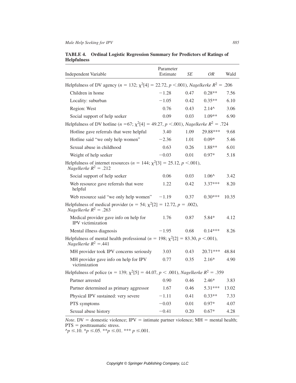| <b>Independent Variable</b>                                                                                         | Parameter<br>Estimate | <b>SE</b> | OR             | Wald  |
|---------------------------------------------------------------------------------------------------------------------|-----------------------|-----------|----------------|-------|
| Helpfulness of DV agency ( $n = 132$ ; $\chi^2[4] = 22.72$ , $p < .001$ ), Nagelkerke $R^2 = .206$                  |                       |           |                |       |
| Children in home                                                                                                    | $-1.28$               | 0.47      | $0.28**$       | 7.56  |
| Locality: suburban                                                                                                  | $-1.05$               | 0.42      | $0.35**$       | 6.10  |
| Region: West                                                                                                        | 0.76                  | 0.43      | $2.14^{\circ}$ | 3.06  |
| Social support of help seeker                                                                                       | 0.09                  | 0.03      | 1.09**         | 6.90  |
| Helpfulness of DV hotline ( $n = 67$ ; $\chi^2[4] = 49.27$ , $p < .001$ ), Nagelkerke $R^2 = .724$                  |                       |           |                |       |
| Hotline gave referrals that were helpful                                                                            | 3.40                  | 1.09      | 29.88***       | 9.68  |
| Hotline said "we only help women"                                                                                   | $-2.36$               | 1.01      | $0.09*$        | 5.46  |
| Sexual abuse in childhood                                                                                           | 0.63                  | 0.26      | 1.88**         | 6.01  |
| Weight of help seeker                                                                                               | $-0.03$               | 0.01      | $0.97*$        | 5.18  |
| Helpfulness of internet resources ( $n = 144$ ; $\chi^2[3] = 25.12$ , $p < .001$ ),<br>Nagelkerke $R^2 = .212$      |                       |           |                |       |
| Social support of help seeker                                                                                       | 0.06                  | 0.03      | $1.06^{\circ}$ | 3.42  |
| Web resource gave referrals that were<br>helpful                                                                    | 1.22                  | 0.42      | 3.37***        | 8.20  |
| Web resource said "we only help women"                                                                              | $-1.19$               | 0.37      | $0.30***$      | 10.35 |
| Helpfulness of medical provider ( $n = 54$ ; $\chi^2[2] = 12.72$ , $p = .002$ ),<br>Nagelkerke $R^2 = .263$         |                       |           |                |       |
| Medical provider gave info on help for<br>IPV victimization                                                         | 1.76                  | 0.87      | $5.84*$        | 4.12  |
| Mental illness diagnosis                                                                                            | $-1.95$               | 0.68      | $0.14***$      | 8.26  |
| Helpfulness of mental health professional ( $n = 198$ ; $\chi^2[2] = 83.30, p < .001$ ),<br>Nagelkerke $R^2 = .441$ |                       |           |                |       |
| MH provider took IPV concerns seriously                                                                             | 3.03                  | 0.43      | 20.71***       | 48.84 |
| MH provider gave info on help for IPV<br>victimization                                                              | 0.77                  | 0.35      | $2.16*$        | 4.90  |
| Helpfulness of police ( $n = 139$ ; $\chi^2[5] = 44.07$ , $p < .001$ ), Nagelkerke $R^2 = .359$                     |                       |           |                |       |
| Partner arrested                                                                                                    | 0.90                  | 0.46      | $2.46*$        | 3.83  |
| Partner determined as primary aggressor                                                                             | 1.67                  | 0.46      | 5.31***        | 13.02 |
| Physical IPV sustained: very severe                                                                                 | $-1.11$               | 0.41      | $0.33**$       | 7.33  |
| PTS symptoms                                                                                                        | $-0.03$               | 0.01      | $0.97*$        | 4.07  |
| Sexual abuse history                                                                                                | $-0.41$               | 0.20      | $0.67*$        | 4.28  |

### **TABLE 4. Ordinal Logistic Regression Summary for Predictors of Ratings of Helpfulness**

*Note*. DV = domestic violence; IPV = intimate partner violence; MH = mental health;  $PTS = posttraumatic stress.$ 

 $\gamma_p \leq 10.$  \* $p \leq 0.05$ . \*\* $p \leq 0.01$ . \*\*\*  $p \leq 0.001$ .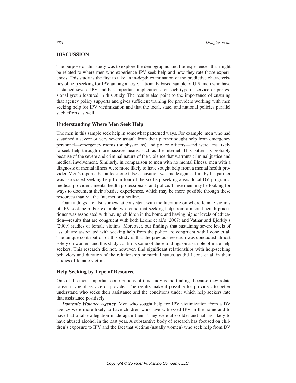#### **DISCUSSION**

The purpose of this study was to explore the demographic and life experiences that might be related to where men who experience IPV seek help and how they rate those experiences. This study is the first to take an in-depth examination of the predictive characteristics of help seeking for IPV among a large, nationally based sample of U.S. men who have sustained severe IPV and has important implications for each type of service or professional group featured in this study. The results also point to the importance of ensuring that agency policy supports and gives sufficient training for providers working with men seeking help for IPV victimization and that the local, state, and national policies parallel such efforts as well.

#### **Understanding Where Men Seek Help**

The men in this sample seek help in somewhat patterned ways. For example, men who had sustained a severe or very severe assault from their partner sought help from emergency personnel—emergency rooms (or physicians) and police officers—and were less likely to seek help through more passive means, such as the Internet. This pattern is probably because of the severe and criminal nature of the violence that warrants criminal justice and medical involvement. Similarly, in comparison to men with no mental illness, men with a diagnosis of mental illness were more likely to have sought help from a mental health provider. Men's reports that at least one false accusation was made against him by his partner was associated seeking help from four of the six help-seeking areas: local DV programs, medical providers, mental health professionals, and police. These men may be looking for ways to document their abusive experiences, which may be more possible through these resources than via the Internet or a hotline.

Our findings are also somewhat consistent with the literature on where female victims of IPV seek help. For example, we found that seeking help from a mental health practitioner was associated with having children in the home and having higher levels of education—results that are congruent with both Leone et al.'s (2007) and Vatnar and Bjørkly's (2009) studies of female victims. Moreover, our findings that sustaining severe levels of assault are associated with seeking help from the police are congruent with Leone et al. The unique contribution of this study is that the previous research was conducted almost solely on women, and this study confirms some of these findings on a sample of male help seekers. This research did not, however, find significant relationships with help-seeking behaviors and duration of the relationship or marital status, as did Leone et al. in their studies of female victims.

#### **Help Seeking by Type of Resource**

One of the most important contributions of this study is the findings because they relate to each type of service or provider. The results make it possible for providers to better understand who seeks their assistance and the conditions under which help seekers rate that assistance positively.

*Domestic Violence Agency.* Men who sought help for IPV victimization from a DV agency were more likely to have children who have witnessed IPV in the home and to have had a false allegation made again them. They were also older and half as likely to have abused alcohol in the past year. A substantive body of research has focused on children's exposure to IPV and the fact that victims (usually women) who seek help from DV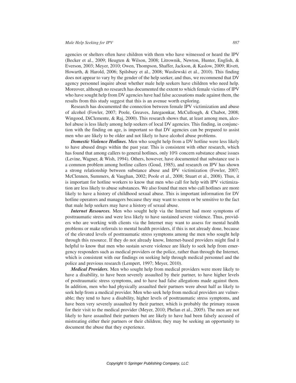agencies or shelters often have children with them who have witnessed or heard the IPV (Becker et al., 2009; Heugten & Wilson, 2008; Litrownik, Newton, Hunter, English, & Everson, 2003; Meyer, 2010; Owen, Thompson, Shaffer, Jackson, & Kaslow, 2009; Rivett, Howarth, & Harold, 2006; Spilsbury et al., 2008; Wasilewski et al., 2010). This finding does not appear to vary by the gender of the help seeker, and thus, we recommend that DV agency personnel inquire about whether male help seekers have children who need help. Moreover, although no research has documented the extent to which female victims of IPV who have sought help from DV agencies have had false accusations made against them, the results from this study suggest that this is an avenue worth exploring.

Research has documented the connection between female IPV victimization and abuse of alcohol (Fowler, 2007; Poole, Greaves, Jategaonkar, McCullough, & Chabot, 2008; Wingood, DiClemente, & Raj, 2000). This research shows that, at least among men, alcohol abuse is less likely among help seekers of local DV agencies. This finding, in conjunction with the finding on age, is important so that DV agencies can be prepared to assist men who are likely to be older and not likely to have alcohol abuse problems.

*Domestic Violence Hotlines.* Men who sought help from a DV hotline were less likely to have abused drugs within the past year. This is consistent with other research, which has found that among callers to general hotlines, only 10% concern substance abuse issues (Levine, Wagner, & Wish, 1994). Others, however, have documented that substance use is a common problem among hotline callers (Goud, 1985), and research on IPV has shown a strong relationship between substance abuse and IPV victimization (Fowler, 2007; McClennen, Summers, & Vaughan, 2002; Poole et al., 2008; Stuart et al., 2008). Thus, it is important for hotline workers to know that men who call for help with IPV victimization are less likely to abuse substances. We also found that men who call hotlines are more likely to have a history of childhood sexual abuse. This is important information for DV hotline operators and managers because they may want to screen or be sensitive to the fact that male help seekers may have a history of sexual abuse.

*Internet Resources.* Men who sought help via the Internet had more symptoms of posttraumatic stress and were less likely to have sustained severe violence. Thus, providers who are working with clients via the Internet may want to assess for mental health problems or make referrals to mental health providers, if this is not already done, because of the elevated levels of posttraumatic stress symptoms among the men who sought help through this resource. If they do not already know, Internet-based providers might find it helpful to know that men who sustain severe violence are likely to seek help from emergency responders such as medical providers or the police, rather than through the Internet, which is consistent with our findings on seeking help through medical personnel and the police and previous research (Lempert, 1997; Meyer, 2010).

*Medical Providers.* Men who sought help from medical providers were more likely to have a disability, to have been severely assaulted by their partner, to have higher levels of posttraumatic stress symptoms, and to have had false allegations made against them. In addition, men who had physically assaulted their partners were about half as likely to seek help from a medical provider. Men who seek help from medical providers are vulnerable; they tend to have a disability, higher levels of posttraumatic stress symptoms, and have been very severely assaulted by their partner, which is probably the primary reason for their visit to the medical provider (Meyer, 2010; Phelan et al., 2005). The men are not likely to have assaulted their partners but are likely to have had been falsely accused of mistreating either their partners or their children; they may be seeking an opportunity to document the abuse that they experience.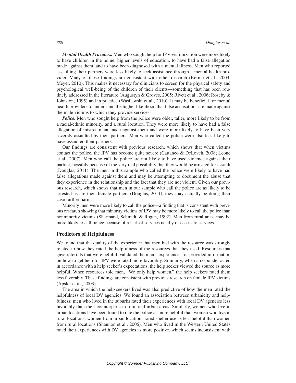*Mental Health Providers.* Men who sought help for IPV victimization were more likely to have children in the home, higher levels of education, to have had a false allegation made against them, and to have been diagnosed with a mental illness. Men who reported assaulting their partners were less likely to seek assistance through a mental health provider. Many of these findings are consistent with other research (Kernic et al., 2003; Meyer, 2010). This makes it necessary for clinicians to screen for the physical safety and psychological well-being of the children of their clients—something that has been routinely addressed in the literature (Augustyn & Groves, 2005; Rivett et al., 2006; Roseby & Johnston, 1995) and in practice (Wasilewski et al., 2010). It may be beneficial for mental health providers to understand the higher likelihood that false accusations are made against the male victims to which they provide services.

*Police.* Men who sought help from the police were older, taller, more likely to be from a racial/ethnic minority, and a rural location. They were more likely to have had a false allegation of mistreatment made against them and were more likely to have been very severely assaulted by their partners. Men who called the police were also less likely to have assaulted their partners.

Our findings are consistent with previous research, which shows that when victims contact the police, the IPV has become quite severe (Cattaneo & DeLoveh, 2008; Leone et al., 2007). Men who call the police are not likely to have used violence against their partner, possibly because of the very real possibility that they would be arrested for assault (Douglas, 2011). The men in this sample who called the police were likely to have had false allegations made against them and may be attempting to document the abuse that they experience in the relationship and the fact that they are not violent. Given our previous research, which shows that men in our sample who call the police are as likely to be arrested as are their female partners (Douglas, 2011), they may actually be doing their case further harm.

Minority men were more likely to call the police—a finding that is consistent with previous research showing that minority victims of IPV may be more likely to call the police than nonminority victims (Shermand, Schmidt, & Rogan, 1992). Men from rural areas may be more likely to call police because of a lack of services nearby or access to services.

#### **Predictors of Helpfulness**

We found that the quality of the experience that men had with the resource was strongly related to how they rated the helpfulness of the resources that they used. Resources that gave referrals that were helpful, validated the men's experiences, or provided information on how to get help for IPV were rated more favorably. Similarly, when a responder acted in accordance with a help seeker's expectations, the help seeker viewed the source as more helpful. When resources told men, "We only help women," the help seekers rated them less favorably. These findings are consistent with previous research on female IPV victims (Apsler et al., 2003).

The area in which the help seekers lived was also predictive of how the men rated the helpfulness of local DV agencies. We found an association between urbanicity and helpfulness; men who lived in the suburbs rated their experiences with local DV agencies less favorably than their counterparts in rural and urban areas. Similarly, women who live in urban locations have been found to rate the police as more helpful than women who live in rural locations; women from urban locations rated shelter use as less helpful than women from rural locations (Shannon et al., 2006). Men who lived in the Western United States rated their experiences with DV agencies as more positive, which seems inconsistent with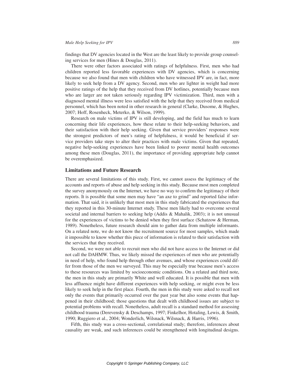findings that DV agencies located in the West are the least likely to provide group counseling services for men (Hines & Douglas, 2011).

There were other factors associated with ratings of helpfulness. First, men who had children reported less favorable experiences with DV agencies, which is concerning because we also found that men with children who have witnessed IPV are, in fact, more likely to seek help from a DV agency. Second, men who are lighter in weight had more positive ratings of the help that they received from DV hotlines, potentially because men who are larger are not taken seriously regarding IPV victimization. Third, men with a diagnosed mental illness were less satisfied with the help that they received from medical personnel, which has been noted in other research in general (Clarke, Dusome, & Hughes, 2007; Hoff, Rosenheck, Meterko, & Wilson, 1999).

Research on male victims of IPV is still developing, and the field has much to learn concerning their life experiences, how these relate to their help-seeking behaviors, and their satisfaction with their help seeking. Given that service providers' responses were the strongest predictors of men's rating of helpfulness, it would be beneficial if service providers take steps to alter their practices with male victims. Given that repeated, negative help-seeking experiences have been linked to poorer mental health outcomes among these men (Douglas, 2011), the importance of providing appropriate help cannot be overemphasized.

#### **Limitations and Future Research**

There are several limitations of this study. First, we cannot assess the legitimacy of the accounts and reports of abuse and help seeking in this study. Because most men completed the survey anonymously on the Internet, we have no way to confirm the legitimacy of their reports. It is possible that some men may have "an axe to grind" and reported false information. That said, it is unlikely that most men in this study fabricated the experiences that they reported in this 30-minute Internet study. These men likely had to overcome several societal and internal barriers to seeking help (Addis & Mahalik, 2003); it is not unusual for the experiences of victims to be denied when they first surface (Schatzow & Herman, 1989). Nonetheless, future research should aim to gather data from multiple informants. On a related note, we do not know the recruitment source for most samples, which made it impossible to know whether this piece of information is related to their satisfaction with the services that they received.

Second, we were not able to recruit men who did not have access to the Internet or did not call the DAHMW. Thus, we likely missed the experiences of men who are potentially in need of help, who found help through other avenues, and whose experiences could differ from those of the men we surveyed. This may be especially true because men's access to these resources was limited by socioeconomic conditions. On a related and third note, the men in this study are primarily White and well educated. It is possible that men with less affluence might have different experiences with help seeking, or might even be less likely to seek help in the first place. Fourth, the men in this study were asked to recall not only the events that primarily occurred over the past year but also some events that happened in their childhood; those questions that dealt with childhood issues are subject to potential problems with recall. Nonetheless, adult recall is a standard method for assessing childhood trauma (Derevensky & Deschamps, 1997; Finkelhor, Hotaling, Lewis, & Smith, 1990; Ruggiero et al., 2004; Wonderlich, Wilsnack, Wilsnack, & Harris, 1996).

Fifth, this study was a cross-sectional, correlational study; therefore, inferences about causality are weak, and such inferences could be strengthened with longitudinal designs.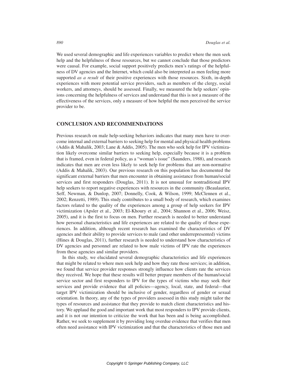We used several demographic and life experiences variables to predict where the men seek help and the helpfulness of those resources, but we cannot conclude that those predictors were causal. For example, social support positively predicts men's ratings of the helpfulness of DV agencies and the Internet, which could also be interpreted as men feeling more supported *as a result* of their positive experiences with those resources. Sixth, in-depth experiences with more potential service providers, such as members of the clergy, social workers, and attorneys, should be assessed. Finally, we measured the help seekers' opinions concerning the helpfulness of services and understand that this is not a measure of the effectiveness of the services, only a measure of how helpful the men perceived the service provider to be.

#### **CONCLUSION AND RECOMMENDATIONS**

Previous research on male help-seeking behaviors indicates that many men have to overcome internal and external barriers to seeking help for mental and physical health problems (Addis & Mahalik, 2003; Lane & Addis, 2005). The men who seek help for IPV victimization likely overcome similar barriers to seeking help, especially because it is a problem that is framed, even in federal policy, as a "woman's issue" (Saunders, 1988), and research indicates that men are even less likely to seek help for problems that are non-normative (Addis & Mahalik, 2003). Our previous research on this population has documented the significant external barriers that men encounter in obtaining assistance from human/social services and first responders (Douglas, 2011). It is not unusual for nontraditional IPV help seekers to report negative experiences with resources in the community (Beaulaurier, Seff, Newman, & Dunlop, 2007; Donnelly, Cook, & Wilson, 1999; McClennen et al., 2002; Renzetti, 1989). This study contributes to a small body of research, which examines factors related to the quality of the experiences among a group of help seekers for IPV victimization (Apsler et al., 2003; El-Khoury et al., 2004; Shannon et al., 2006; Weisz, 2005), and it is the first to focus on men. Further research is needed to better understand how personal characteristics and life experiences are related to the quality of these experiences. In addition, although recent research has examined the characteristics of DV agencies and their ability to provide services to male (and other underrepresented) victims (Hines & Douglas, 2011), further research is needed to understand how characteristics of DV agencies and personnel are related to how male victims of IPV rate the experiences from these agencies and similar providers.

In this study, we elucidated several demographic characteristics and life experiences that might be related to where men seek help and how they rate those services; in addition, we found that service provider responses strongly influence how clients rate the services they received. We hope that these results will better prepare members of the human/social service sector and first responders to IPV for the types of victims who may seek their services and provide evidence that all policies—agency, local, state, and federal—that target IPV victimization should be inclusive of gender, regardless of gender or sexual orientation. In theory, any of the types of providers assessed in this study might tailor the types of resources and assistance that they provide to match client characteristics and history. We applaud the good and important work that most responders to IPV provide clients, and it is not our intention to criticize the work that has been and is being accomplished. Rather, we seek to supplement it by providing long overdue evidence that verifies that men often need assistance with IPV victimization and that the characteristics of those men and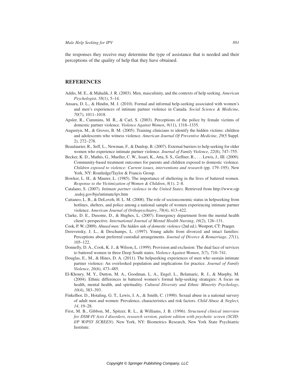the responses they receive may determine the type of assistance that is needed and their perceptions of the quality of help that they have obtained.

#### **REFERENCES**

- Addis, M. E., & Mahalik, J. R. (2003). Men, masculinity, and the contexts of help seeking. *American Psychologist*, *58*(1), 5–14.
- Ansara, D. L., & Hindin, M. J. (2010). Formal and informal help-seeking associated with women's and men's experiences of intimate partner violence in Canada. *Social Science & Medicine*, *70*(7), 1011–1018.
- Apsler, R., Cummins, M. R., & Carl, S. (2003). Perceptions of the police by female victims of domestic partner violence. *Violence Against Women*, *9*(11), 1318–1335.
- Augustyn, M., & Groves, B. M. (2005). Training clinicians to identify the hidden victims: children and adolescents who witness violence. *American Journal Of Preventive Medicine*, *29*(5 Suppl. 2), 272–278.
- Beaulaurier, R., Seff, L., Newman, F., & Dunlop, B. (2007). External barriers to help seeking for older women who experience intimate partner violence. *Journal of Family Violence*, *22*(8), 747–755.
- Becker, K. D., Mathis, G., Mueller, C. W., Issari, K., Atta, S. S., Geffner, R., . . . Lewis, J., III. (2009). Community-based treatment outcomes for parents and children exposed to domestic violence. *Children exposed to violence: Current issues, interventions and research* (pp. 179–195). New York, NY: Routledge/Taylor & Francis Group.
- Bowker, L. H., & Maurer, L. (1985). The importance of sheltering in the lives of battered women. *Response to the Victimization of Women & Children*, *8*(1), 2–8.
- Catalano, S. (2007). *Intimate partner violence in the United States*. Retrieved from http://www.ojp .usdoj.gov/bjs/intimate/ipv.htm
- Cattaneo, L. B., & DeLoveh, H. L. M. (2008). The role of socioeconomic status in helpseeking from hotlines, shelters, and police among a national sample of women experiencing intimate partner violence. *American Journal of Orthopsychiatry*, *78*(4), 413–422.
- Clarke, D. E., Dusome, D., & Hughes, L. (2007). Emergency department from the mental health client's perspective. *International Journal of Mental Health Nursing*, *16*(2), 126–131.
- Cook, P. W. (2009). *Abused men: The hidden side of domestic violence* (2nd ed.). Westport, CT: Praeger.
- Derevensky, J. L., & Deschamps, L. (1997). Young adults from divorced and intact families: Perceptions about preferred custodial arrangements. *Journal of Divorce & Remarriage*, *27*(1), 105–122.
- Donnelly, D. A., Cook, K. J., & Wilson, L. (1999). Provision and exclusion: The dual face of services to battered women in three Deep South states. *Violence Against Women*, *5*(7), 710–741.
- Douglas, E., M., & Hines, D. A. (2011). The helpseeking experiences of men who sustain intimate partner violence: An overlooked population and implications for practice. *Journal of Family Violence*, *26*(6), 473–485.
- El-Khoury, M. Y., Dutton, M. A., Goodman, L. A., Engel, L., Belamaric, R. J., & Murphy, M. (2004). Ethnic differences in battered women's formal help-seeking strategies: A focus on health, mental health, and spirituality. *Cultural Diversity and Ethnic Minority Psychology*, *10*(4), 383–393.
- Finkelhor, D., Hotaling, G. T., Lewis, I. A., & Smith, C. (1990). Sexual abuse in a national survery of adult men and women: Prevalence, characteristics and risk factors. *Child Abuse & Neglect*, *14*, 19–28.
- First, M. B., Gibbon, M., Spitzer, R. L., & Williams, J. B. (1996). *Structured clinical interview for DSM-IV Axis I disorders, research version, patient edition with psychotic screen (SCID-I/P W/PSY SCREEN)*. New York, NY: Biometrics Research, New York State Psychiatric Institute.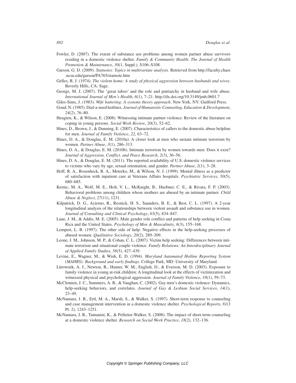- Fowler, D. (2007). The extent of substance use problems among women partner abuse survivors residing in a domestic violence shelter. *Family & Community Health: The Journal of Health Promotion & Maintenance*, *30*(1, Suppl.), S106–S108.
- Garson, G. D. (2009). *Statnotes: Topics in multivariate analysis*. Retrieved from http://faculty.chass .ncsu.edu/garson/PA765/statnote.htm
- Gelles, R. J. (1974). *The violent home: A study of physical aggression between husbands and wives*. Beverly Hills, CA: Sage.
- George, M. J. (2007). The 'great taboo' and the role and patriarchy in husband and wife abuse. *International Journal of Men's Health*, *6*(1), 7–21. http://dx.doi.org/10.3149/jmh.0601.7

Giles-Sims, J. (1983). *Wife battering: A systems theory approach*. New York, NY: Guilford Press.

- Goud, N. (1985). Dial-a-need hotlines. *Journal of Humanistic Counseling, Education & Development*, *24*(2), 76–80.
- Heugten, K., & Wilson, E. (2008). Witnessing intimate partner violence: Review of the literature on coping in young persons. *Social Work Review*, *20*(3), 52–62.
- Hines, D., Brown, J., & Dunning, E. (2007). Characteristics of callers to the domestic abuse helpline for men. *Journal of Family Violence*, *22*, 63–72.
- Hines, D. A., & Douglas, E. M. (2010a). A closer look at men who sustain intimate terrorism by women. *Partner Abuse*, *3*(1), 286–313.
- Hines, D. A., & Douglas, E. M. (2010b). Intimate terrorism by women towards men: Does it exist? *Journal of Aggression, Conflict, and Peace Research*, *2*(3), 36–56.
- Hines, D. A., & Douglas, E. M. (2011). The reported availability of U.S. domestic violence services to victims who vary by age, sexual orientation, and gender. *Partner Abuse*, *2*(1), 3–28.
- Hoff, R. A., Rosenheck, R. A., Meterko, M., & Wilson, N. J. (1999). Mental illness as a predictor of satisfaction with inpatient care at Veterans Affairs hospitals. *Psychiatric Services*, *50*(5), 680–685.
- Kernic, M. A., Wolf, M. E., Holt, V. L., McKnight, B., Huebner, C. E., & Rivara, F. P. (2003). Behavioral problems among children whose mothers are abused by an intimate partner. *Child Abuse & Neglect*, *27*(11), 1231.
- Kilpatrick, D. G., Acierno, R., Resnick, H. S., Saunders, B. E., & Best, C. L. (1997). A 2-year longitudinal analysis of the relationships between violent assault and substance use in women. *Journal of Consulting and Clinical Psychology*, *65*(5), 834–847.
- Lane, J. M., & Addis, M. E. (2005). Male gender role conflict and patterns of help seeking in Costa Rica and the United States. *Psychology of Men & Masculinity*, *6*(3), 155–168.
- Lempert, L. B. (1997). The other side of help: Negative effects in the help-seeking processes of abused women. *Qualitative Sociology*, *20*(2), 289–309.
- Leone, J. M., Johnson, M. P., & Cohan, C. L. (2007). Victim help seeking: Differences between intimate terrorism and situational couple violence. *Family Relations: An Interdisciplinary Journal of Applied Family Studies*, *56*(5), 427–439.
- Levine, E., Wagner, M., & Wish, E. D. (1994). *Maryland Automated Hotline Reporting System (MAHRS): Background and early findings*. College Park, MD: University of Maryland.
- Litrownik, A. J., Newton, R., Hunter, W. M., English, D., & Everson, M. D. (2003). Exposure to family violence in young at-risk children: A longitudinal look at the effects of victimization and witnessed physical and psychological aggression. *Journal of Family Violence*, *18*(1), 59–73.
- McClennen, J. C., Summers, A. B., & Vaughan, C. (2002). Gay men's domestic violence: Dynamics, help-seeking behaviors, and correlates. *Journal of Gay & Lesbian Social Services*, *14*(1), 23–49.
- McNamara, J. R., Ertl, M. A., Marsh, S., & Walker, S. (1997). Short-term response to counseling and case management intervention in a domestic violence shelter. *Psychological Reports*, *81*(3 Pt. 2), 1243–1251.
- McNamara, J. R., Tamanini, K., & Pelletier-Walker, S. (2008). The impact of short-term counseling at a domestic violence shelter. *Research on Social Work Practice*, *18*(2), 132–136.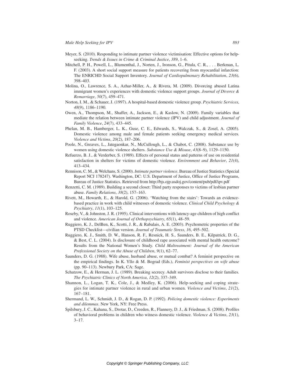- Meyer, S. (2010). Responding to intimate partner violence victimisation: Effective options for helpseeking. *Trends & Issues in Crime & Criminal Justice*, *389*, 1–6.
- Mitchell, P. H., Powell, L., Blumenthal, J., Norten, J., Ironson, G., Pitula, C. R., . . . Berkman, L. F. (2003). A short social support measure for patients recovering from myocardial infarction: The ENRICHD Social Support Inventory. *Journal of Cardiopulmonary Rehabilitation*, *23*(6), 398–403.
- Molina, O., Lawrence, S. A., Azhar-Miller, A., & Rivera, M. (2009). Divorcing abused Latina immigrant women's experiences with domestic violence support groups. *Journal of Divorce & Remarriage*, *50*(7), 459–471.
- Norton, I. M., & Schauer, J. (1997). A hospital-based domestic violence group. *Psychiatric Services*, *48*(9), 1186–1190.
- Owen, A., Thompson, M., Shaffer, A., Jackson, E., & Kaslow, N. (2009). Family variables that mediate the relation between intimate partner violence (IPV) and child adjustment. *Journal of Family Violence*, *24*(7), 433–445.
- Phelan, M. B., Hamberger, L. K., Guse, C. E., Edwards, S., Walczak, S., & Zosel, A. (2005). Domestic violence among male and female patients seeking emergency medical services. *Violence and Victims*, *20*(2), 187–206.
- Poole, N., Greaves, L., Jategaonkar, N., McCullough, L., & Chabot, C. (2008). Substance use by women using domestic violence shelters. *Substance Use & Misuse*, *43*(8–9), 1129–1150.
- Refuerzo, B. J., & Verderber, S. (1989). Effects of personal status and patterns of use on residential satisfaction in shelters for victims of domestic violence. *Environment and Behavior*, *21*(4), 413–434.
- Rennison, C. M., & Welchans, S. (2000). *Intimate partner violence*. Bureau of Justice Statistics (Special Report NCJ 178247). Washington, DC: U.S. Department of Justice, Office of Justice Programs, Bureau of Justice Statistics. Retrieved from http://bjs.ojp.usdoj.gov/content/pub/pdf/ipv.pdf
- Renzetti, C. M. (1989). Building a second closet: Third party responses to victims of lesbian partner abuse. *Family Relations*, *38*(2), 157–163.
- Rivett, M., Howarth, E., & Harold, G. (2006). 'Watching from the stairs': Towards an evidencebased practice in work with child witnesses of domestic violence. *Clinical Child Psychology & Psychiatry*, *11*(1), 103–125.
- Roseby, V., & Johnston, J. R. (1995). Clinical interventions with latency-age children of high conflict and violence. *American Journal of Orthopsychiatry*, *65*(1), 48–59.
- Ruggiero, K. J., DelBen, K., Scotti, J. R., & Rabalais, A. E. (2003). Psychometric properties of the PTSD Checklist—civilian version. *Journal of Traumatic Stress*, *16*, 495–502.
- Ruggiero, K. J., Smith, D. W., Hanson, R. F., Resnick, H. S., Saunders, B. E., Kilpatrick, D. G., & Best, C. L. (2004). Is disclosure of childhood rape associated with mental health outcome? Results from the National Women's Study. *Child Maltreatment: Journal of the American Professional Society on the Abuse of Children*, *9*(1), 62–77.
- Saunders, D. G. (1988). Wife abuse, husband abuse, or mutual combat? A feminist perspective on the empirical findings. In K. Yllo & M. Bograd (Eds.), *Feminist perspectives on wife abuse* (pp. 90–113). Newbury Park, CA: Sage.
- Schatzow, E., & Herman, J. L. (1989). Breaking secrecy. Adult survivors disclose to their families. *The Psychiatric Clinics of North America*, *12*(2), 337–349.
- Shannon, L., Logan, T. K., Cole, J., & Medley, K. (2006). Help-seeking and coping strategies for intimate partner violence in rural and urban women. *Violence and Victims*, *21*(2), 167–181.
- Shermand, L. W., Schmidt, J. D., & Rogan, D. P. (1992). *Policing domestic violence: Experiments and dilemmas*. New York, NY: Free Press.
- Spilsbury, J. C., Kahana, S., Drotar, D., Creeden, R., Flannery, D. J., & Friedman, S. (2008). Profiles of behavioral problems in children who witness domestic violence. *Violence & Victims*, *23*(1), 3–17.